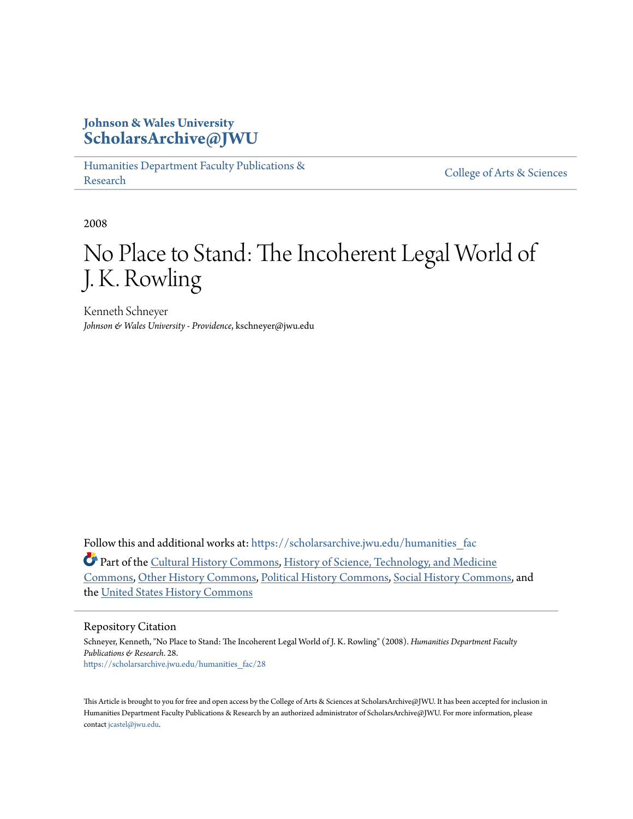#### **Johnson & Wales University [ScholarsArchive@JWU](https://scholarsarchive.jwu.edu?utm_source=scholarsarchive.jwu.edu%2Fhumanities_fac%2F28&utm_medium=PDF&utm_campaign=PDFCoverPages)**

[Humanities Department Faculty Publications &](https://scholarsarchive.jwu.edu/humanities_fac?utm_source=scholarsarchive.jwu.edu%2Fhumanities_fac%2F28&utm_medium=PDF&utm_campaign=PDFCoverPages) rumanties Department Faculty 1 ubilearions & [College of Arts & Sciences](https://scholarsarchive.jwu.edu/arts_sciences?utm_source=scholarsarchive.jwu.edu%2Fhumanities_fac%2F28&utm_medium=PDF&utm_campaign=PDFCoverPages)

2008

# No Place to Stand: The Incoherent Legal World of J. K. Rowling

Kenneth Schneyer *Johnson & Wales University - Providence*, kschneyer@jwu.edu

Follow this and additional works at: https://scholarsarchive.jwu.edu/humanities fac

Part of the [Cultural History Commons,](http://network.bepress.com/hgg/discipline/496?utm_source=scholarsarchive.jwu.edu%2Fhumanities_fac%2F28&utm_medium=PDF&utm_campaign=PDFCoverPages) [History of Science, Technology, and Medicine](http://network.bepress.com/hgg/discipline/500?utm_source=scholarsarchive.jwu.edu%2Fhumanities_fac%2F28&utm_medium=PDF&utm_campaign=PDFCoverPages) [Commons,](http://network.bepress.com/hgg/discipline/500?utm_source=scholarsarchive.jwu.edu%2Fhumanities_fac%2F28&utm_medium=PDF&utm_campaign=PDFCoverPages) [Other History Commons,](http://network.bepress.com/hgg/discipline/508?utm_source=scholarsarchive.jwu.edu%2Fhumanities_fac%2F28&utm_medium=PDF&utm_campaign=PDFCoverPages) [Political History Commons](http://network.bepress.com/hgg/discipline/505?utm_source=scholarsarchive.jwu.edu%2Fhumanities_fac%2F28&utm_medium=PDF&utm_campaign=PDFCoverPages), [Social History Commons,](http://network.bepress.com/hgg/discipline/506?utm_source=scholarsarchive.jwu.edu%2Fhumanities_fac%2F28&utm_medium=PDF&utm_campaign=PDFCoverPages) and the [United States History Commons](http://network.bepress.com/hgg/discipline/495?utm_source=scholarsarchive.jwu.edu%2Fhumanities_fac%2F28&utm_medium=PDF&utm_campaign=PDFCoverPages)

#### Repository Citation

Schneyer, Kenneth, "No Place to Stand: The Incoherent Legal World of J. K. Rowling" (2008). *Humanities Department Faculty Publications & Research*. 28. [https://scholarsarchive.jwu.edu/humanities\\_fac/28](https://scholarsarchive.jwu.edu/humanities_fac/28?utm_source=scholarsarchive.jwu.edu%2Fhumanities_fac%2F28&utm_medium=PDF&utm_campaign=PDFCoverPages)

This Article is brought to you for free and open access by the College of Arts & Sciences at ScholarsArchive@JWU. It has been accepted for inclusion in Humanities Department Faculty Publications & Research by an authorized administrator of ScholarsArchive@JWU. For more information, please contact [jcastel@jwu.edu.](mailto:jcastel@jwu.edu)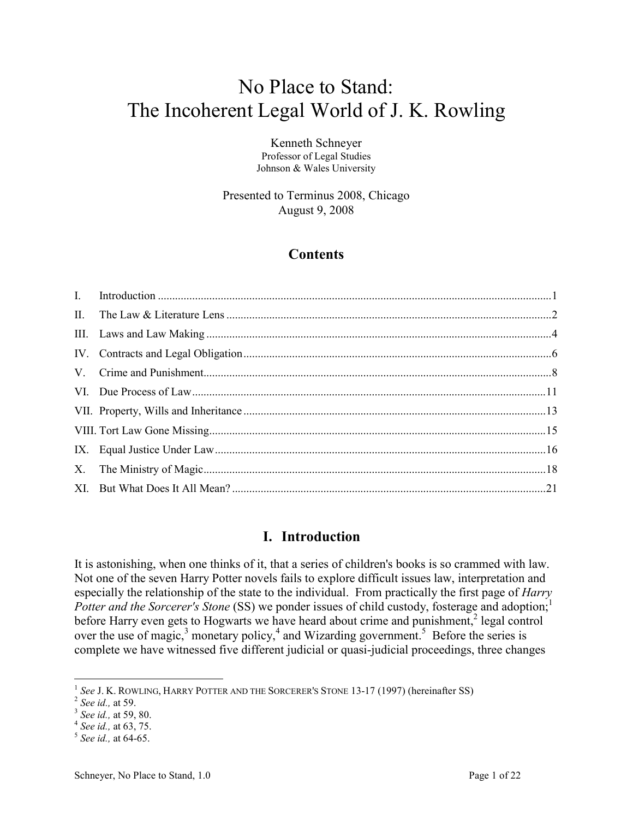## No Place to Stand: The Incoherent Legal World of J. K. Rowling

Kenneth Schneyer Professor of Legal Studies Johnson & Wales University

Presented to Terminus 2008, Chicago August 9, 2008

#### **Contents**

#### **I. Introduction**

It is astonishing, when one thinks of it, that a series of children's books is so crammed with law. Not one of the seven Harry Potter novels fails to explore difficult issues law, interpretation and especially the relationship of the state to the individual. From practically the first page of *Harry Potter and the Sorcerer's Stone* (SS) we ponder issues of child custody, fosterage and adoption;<sup>1</sup> before Harry even gets to Hogwarts we have heard about crime and punishment, $2$  legal control over the use of magic, $3$  monetary policy, $4$  and Wizarding government.<sup>5</sup> Before the series is complete we have witnessed five different judicial or quasi-judicial proceedings, three changes

<sup>&</sup>lt;sup>1</sup> See J. K. ROWLING, HARRY POTTER AND THE SORCERER'S STONE 13-17 (1997) (hereinafter SS)

<sup>2</sup> *See id.,* at 59.

<sup>3</sup> *See id.,* at 59, 80.

<sup>4</sup> *See id.,* at 63, 75.

<sup>5</sup>  *See id.,* at 64-65.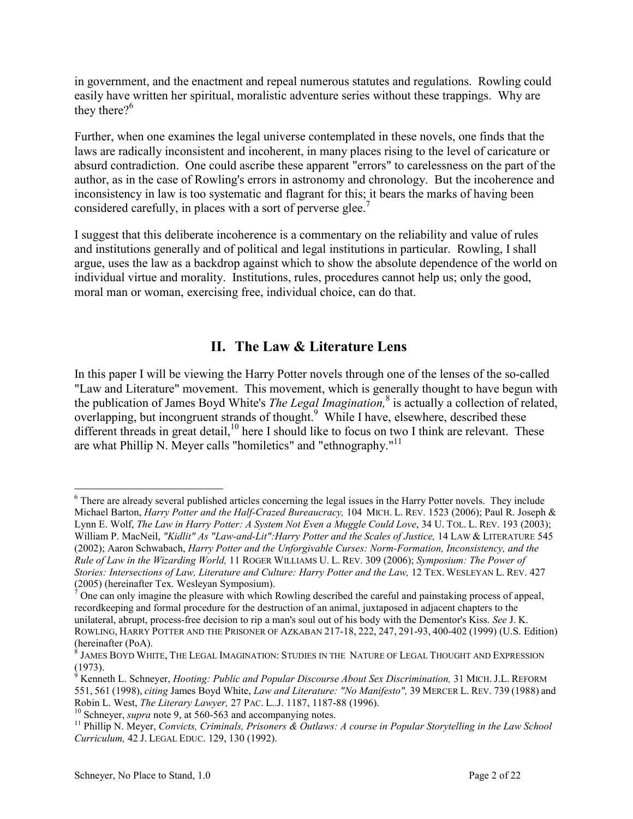<span id="page-2-0"></span>in government, and the enactment and repeal numerous statutes and regulations. Rowling could easily have written her spiritual, moralistic adventure series without these trappings. Why are they there? $6^{\circ}$ 

Further, when one examines the legal universe contemplated in these novels, one finds that the laws are radically inconsistent and incoherent, in many places rising to the level of caricature or absurd contradiction. One could ascribe these apparent "errors" to carelessness on the part of the author, as in the case of Rowling's errors in astronomy and chronology. But the incoherence and inconsistency in law is too systematic and flagrant for this; it bears the marks of having been considered carefully, in places with a sort of perverse glee.<sup>7</sup>

I suggest that this deliberate incoherence is a commentary on the reliability and value of rules and institutions generally and of political and legal institutions in particular. Rowling, I shall argue, uses the law as a backdrop against which to show the absolute dependence of the world on individual virtue and morality. Institutions, rules, procedures cannot help us; only the good, moral man or woman, exercising free, individual choice, can do that.

#### **II. The Law & Literature Lens**

In this paper I will be viewing the Harry Potter novels through one of the lenses of the so-called "Law and Literature" movement. This movement, which is generally thought to have begun with the publication of James Boyd White's *The Legal Imagination*,<sup>8</sup> is actually a collection of related, overlapping, but incongruent strands of thought.<sup>9</sup> While I have, elsewhere, described these different threads in great detail, $10$  here I should like to focus on two I think are relevant. These are what Phillip N. Meyer calls "homiletics" and "ethnography."<sup>11</sup>

 $\overline{a}$ <sup>6</sup> There are already several published articles concerning the legal issues in the Harry Potter novels. They include Michael Barton, *Harry Potter and the Half-Crazed Bureaucracy,* 104 MICH. L. REV. 1523 (2006); Paul R. Joseph & Lynn E. Wolf, *The Law in Harry Potter: A System Not Even a Muggle Could Love*, 34 U. TOL. L. REV. 193 (2003); William P. MacNeil, *"Kidlit" As "Law-and-Lit":Harry Potter and the Scales of Justice,* 14 LAW & LITERATURE 545 (2002); Aaron Schwabach, *Harry Potter and the Unforgivable Curses: Norm-Formation, Inconsistency, and the Rule of Law in the Wizarding World,* 11 ROGER WILLIAMS U. L. REV. 309 (2006); *Symposium: The Power of Stories: Intersections of Law, Literature and Culture: Harry Potter and the Law, 12 TEX. WESLEYAN L. REV. 427* (2005) (hereinafter Tex. Wesleyan Symposium).<br> $T$ One can only imagine the pleasure with which I

One can only imagine the pleasure with which Rowling described the careful and painstaking process of appeal, recordkeeping and formal procedure for the destruction of an animal, juxtaposed in adjacent chapters to the unilateral, abrupt, process-free decision to rip a man's soul out of his body with the Dementor's Kiss. *See* J. K. ROWLING, HARRY POTTER AND THE PRISONER OF AZKABAN 217-18, 222, 247, 291-93, 400-402 (1999) (U.S. Edition) (hereinafter (PoA).

 $^{\rm 8}$  James Boyd White, The Legal Imagination: Studies in the Nature of Legal Thought and Expression (1973).

<sup>9</sup> Kenneth L. Schneyer, *Hooting: Public and Popular Discourse About Sex Discrimination,* 31 MICH. J.L. REFORM 551, 561 (1998), *citing* James Boyd White, *Law and Literature: "No Manifesto",* 39 MERCER L. REV. 739 (1988) and Robin L. West, *The Literary Lawyer,* 27 PAC. L..J. 1187, 1187-88 (1996).

<sup>10</sup> Schneyer, *supra* note 9, at 560-563 and accompanying notes.

<sup>11</sup> Phillip N. Meyer, *Convicts, Criminals, Prisoners & Outlaws: A course in Popular Storytelling in the Law School Curriculum,* 42 J. LEGAL EDUC. 129, 130 (1992).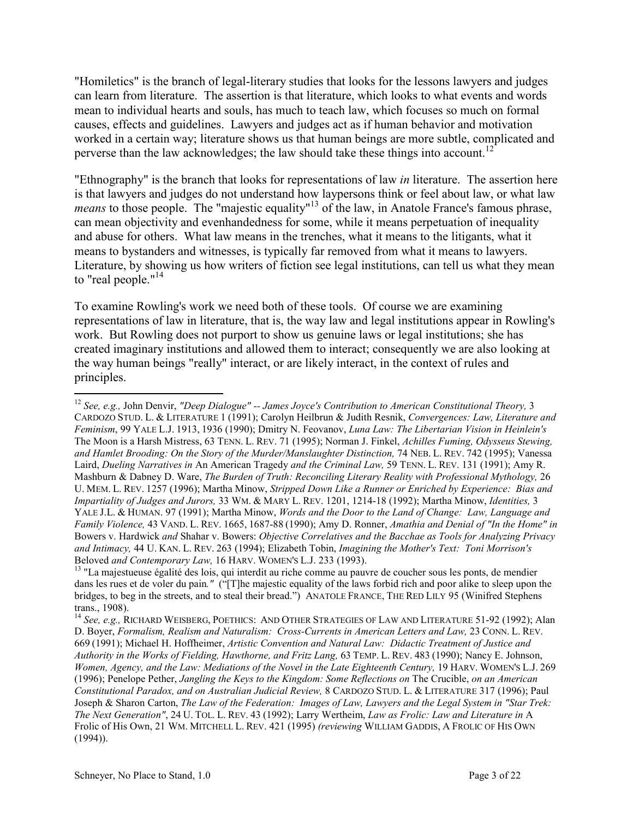"Homiletics" is the branch of legal-literary studies that looks for the lessons lawyers and judges can learn from literature. The assertion is that literature, which looks to what events and words mean to individual hearts and souls, has much to teach law, which focuses so much on formal causes, effects and guidelines. Lawyers and judges act as if human behavior and motivation worked in a certain way; literature shows us that human beings are more subtle, complicated and perverse than the law acknowledges; the law should take these things into account.<sup>12</sup>

"Ethnography" is the branch that looks for representations of law *in* literature. The assertion here is that lawyers and judges do not understand how laypersons think or feel about law, or what law *means* to those people. The "majestic equality"<sup>13</sup> of the law, in Anatole France's famous phrase, can mean objectivity and evenhandedness for some, while it means perpetuation of inequality and abuse for others. What law means in the trenches, what it means to the litigants, what it means to bystanders and witnesses, is typically far removed from what it means to lawyers. Literature, by showing us how writers of fiction see legal institutions, can tell us what they mean to "real people."<sup>14</sup>

To examine Rowling's work we need both of these tools. Of course we are examining representations of law in literature, that is, the way law and legal institutions appear in Rowling's work. But Rowling does not purport to show us genuine laws or legal institutions; she has created imaginary institutions and allowed them to interact; consequently we are also looking at the way human beings "really" interact, or are likely interact, in the context of rules and principles.

<sup>12</sup> *See, e.g.,* John Denvir, *"Deep Dialogue" -- James Joyce's Contribution to American Constitutional Theory,* 3 CARDOZO STUD. L. & LITERATURE 1 (1991); Carolyn Heilbrun & Judith Resnik, *Convergences: Law, Literature and Feminism*, 99 YALE L.J. 1913, 1936 (1990); Dmitry N. Feovanov, *Luna Law: The Libertarian Vision in Heinlein's*  The Moon is a Harsh Mistress, 63 TENN. L. REV. 71 (1995); Norman J. Finkel, *Achilles Fuming, Odysseus Stewing, and Hamlet Brooding: On the Story of the Murder/Manslaughter Distinction,* 74 NEB. L. REV. 742 (1995); Vanessa Laird, *Dueling Narratives in* An American Tragedy *and the Criminal Law,* 59 TENN. L. REV. 131 (1991); Amy R. Mashburn & Dabney D. Ware, *The Burden of Truth: Reconciling Literary Reality with Professional Mythology,* 26 U. MEM. L. REV. 1257 (1996); Martha Minow, *Stripped Down Like a Runner or Enriched by Experience: Bias and Impartiality of Judges and Jurors,* 33 WM. & MARY L. REV. 1201, 1214-18 (1992); Martha Minow, *Identities,* 3 YALE J.L. & HUMAN. 97 (1991); Martha Minow, *Words and the Door to the Land of Change: Law, Language and Family Violence,* 43 VAND. L. REV. 1665, 1687-88 (1990); Amy D. Ronner, *Amathia and Denial of "In the Home" in* Bowers v. Hardwick *and* Shahar v. Bowers: *Objective Correlatives and the Bacchae as Tools for Analyzing Privacy and Intimacy,* 44 U. KAN. L. REV. 263 (1994); Elizabeth Tobin, *Imagining the Mother's Text: Toni Morrison's* Beloved *and Contemporary Law,* 16 HARV. WOMEN'S L.J. 233 (1993).

<sup>&</sup>lt;sup>13</sup> "La majestueuse égalité des lois, qui interdit au riche comme au pauvre de coucher sous les ponts, de mendier dans les rues et de voler du pain*."* ("[T]he majestic equality of the laws forbid rich and poor alike to sleep upon the bridges, to beg in the streets, and to steal their bread.") ANATOLE FRANCE, THE RED LILY 95 (Winifred Stephens trans., 1908).

<sup>&</sup>lt;sup>14</sup> See, e.g., RICHARD WEISBERG, POETHICS: AND OTHER STRATEGIES OF LAW AND LITERATURE 51-92 (1992); Alan D. Boyer, *Formalism, Realism and Naturalism: Cross-Currents in American Letters and Law,* 23 CONN. L. REV. 669 (1991); Michael H. Hoffheimer, *Artistic Convention and Natural Law: Didactic Treatment of Justice and Authority in the Works of Fielding, Hawthorne, and Fritz Lang,* 63 TEMP. L. REV. 483 (1990); Nancy E. Johnson, *Women, Agency, and the Law: Mediations of the Novel in the Late Eighteenth Century,* 19 HARV. WOMEN'S L.J. 269 (1996); Penelope Pether, *Jangling the Keys to the Kingdom: Some Reflections on* The Crucible, *on an American Constitutional Paradox, and on Australian Judicial Review,* 8 CARDOZO STUD. L. & LITERATURE 317 (1996); Paul Joseph & Sharon Carton, *The Law of the Federation: Images of Law, Lawyers and the Legal System in "Star Trek: The Next Generation"*, 24 U. TOL. L. REV. 43 (1992); Larry Wertheim, *Law as Frolic: Law and Literature in* A Frolic of His Own, 21 WM. MITCHELL L. REV. 421 (1995) *(reviewing* WILLIAM GADDIS, A FROLIC OF HIS OWN (1994)).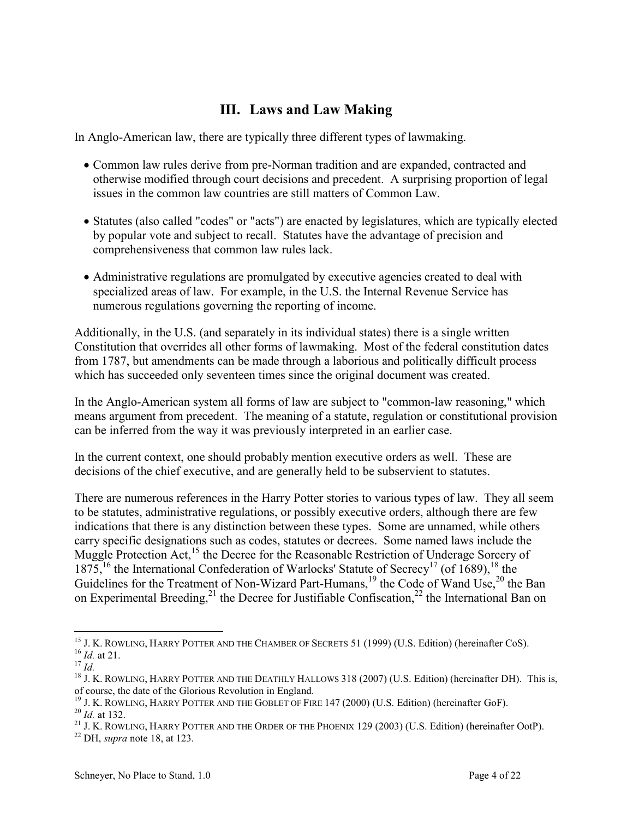#### **III. Laws and Law Making**

<span id="page-4-0"></span>In Anglo-American law, there are typically three different types of lawmaking.

- Common law rules derive from pre-Norman tradition and are expanded, contracted and otherwise modified through court decisions and precedent. A surprising proportion of legal issues in the common law countries are still matters of Common Law.
- Statutes (also called "codes" or "acts") are enacted by legislatures, which are typically elected by popular vote and subject to recall. Statutes have the advantage of precision and comprehensiveness that common law rules lack.
- Administrative regulations are promulgated by executive agencies created to deal with specialized areas of law. For example, in the U.S. the Internal Revenue Service has numerous regulations governing the reporting of income.

Additionally, in the U.S. (and separately in its individual states) there is a single written Constitution that overrides all other forms of lawmaking. Most of the federal constitution dates from 1787, but amendments can be made through a laborious and politically difficult process which has succeeded only seventeen times since the original document was created.

In the Anglo-American system all forms of law are subject to "common-law reasoning," which means argument from precedent. The meaning of a statute, regulation or constitutional provision can be inferred from the way it was previously interpreted in an earlier case.

In the current context, one should probably mention executive orders as well. These are decisions of the chief executive, and are generally held to be subservient to statutes.

There are numerous references in the Harry Potter stories to various types of law. They all seem to be statutes, administrative regulations, or possibly executive orders, although there are few indications that there is any distinction between these types. Some are unnamed, while others carry specific designations such as codes, statutes or decrees. Some named laws include the Muggle Protection Act,<sup>15</sup> the Decree for the Reasonable Restriction of Underage Sorcery of 1875,<sup>16</sup> the International Confederation of Warlocks' Statute of Secrecy<sup>17</sup> (of 1689),<sup>18</sup> the Guidelines for the Treatment of Non-Wizard Part-Humans,<sup>19</sup> the Code of Wand Use,<sup>20</sup> the Ban on Experimental Breeding,<sup>21</sup> the Decree for Justifiable Confiscation,<sup>22</sup> the International Ban on

 $\overline{a}$ <sup>15</sup> J. K. ROWLING, HARRY POTTER AND THE CHAMBER OF SECRETS 51 (1999) (U.S. Edition) (hereinafter CoS). <sup>16</sup> *Id.* at 21.

<sup>17</sup> *Id.*

<sup>&</sup>lt;sup>18</sup> J. K. ROWLING, HARRY POTTER AND THE DEATHLY HALLOWS 318 (2007) (U.S. Edition) (hereinafter DH). This is, of course, the date of the Glorious Revolution in England.

<sup>&</sup>lt;sup>19</sup> J. K. ROWLING, HARRY POTTER AND THE GOBLET OF FIRE  $147 (2000)$  (U.S. Edition) (hereinafter GoF). <sup>20</sup> *Id.* at 132.

<sup>&</sup>lt;sup>21</sup> J. K. ROWLING, HARRY POTTER AND THE ORDER OF THE PHOENIX 129 (2003) (U.S. Edition) (hereinafter OotP).

<sup>22</sup> DH, *supra* note 18, at 123.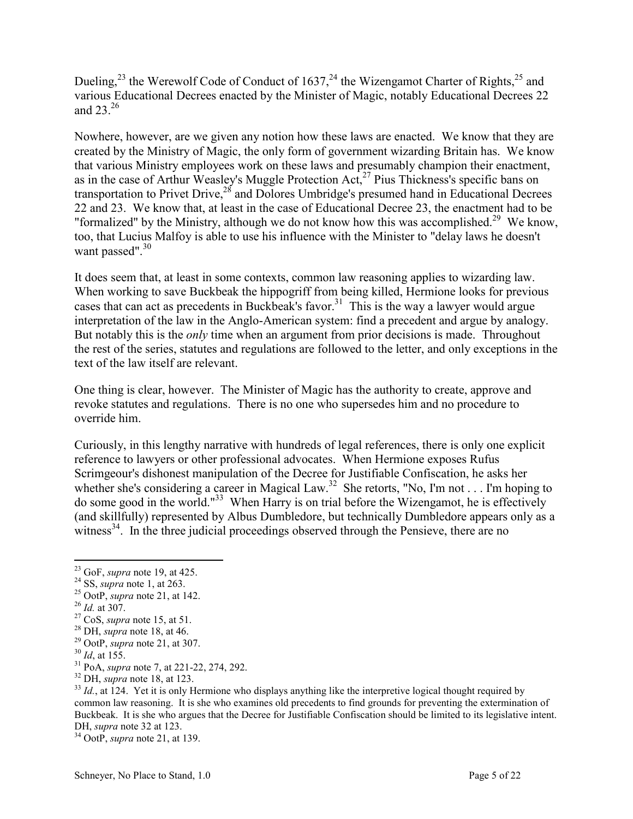Dueling,<sup>23</sup> the Werewolf Code of Conduct of 1637,<sup>24</sup> the Wizengamot Charter of Rights,<sup>25</sup> and various Educational Decrees enacted by the Minister of Magic, notably Educational Decrees 22 and 23 $26$ 

Nowhere, however, are we given any notion how these laws are enacted. We know that they are created by the Ministry of Magic, the only form of government wizarding Britain has. We know that various Ministry employees work on these laws and presumably champion their enactment, as in the case of Arthur Weasley's Muggle Protection Act,<sup>27</sup> Pius Thickness's specific bans on transportation to Privet Drive,<sup>28</sup> and Dolores Umbridge's presumed hand in Educational Decrees 22 and 23. We know that, at least in the case of Educational Decree 23, the enactment had to be "formalized" by the Ministry, although we do not know how this was accomplished.<sup>29</sup> We know, too, that Lucius Malfoy is able to use his influence with the Minister to "delay laws he doesn't want passed".<sup>30</sup>

It does seem that, at least in some contexts, common law reasoning applies to wizarding law. When working to save Buckbeak the hippogriff from being killed, Hermione looks for previous cases that can act as precedents in Buckbeak's favor.<sup>31</sup> This is the way a lawyer would argue interpretation of the law in the Anglo-American system: find a precedent and argue by analogy. But notably this is the *only* time when an argument from prior decisions is made. Throughout the rest of the series, statutes and regulations are followed to the letter, and only exceptions in the text of the law itself are relevant.

One thing is clear, however. The Minister of Magic has the authority to create, approve and revoke statutes and regulations. There is no one who supersedes him and no procedure to override him.

Curiously, in this lengthy narrative with hundreds of legal references, there is only one explicit reference to lawyers or other professional advocates. When Hermione exposes Rufus Scrimgeour's dishonest manipulation of the Decree for Justifiable Confiscation, he asks her whether she's considering a career in Magical Law.<sup>32</sup> She retorts, "No, I'm not . . . I'm hoping to do some good in the world."<sup>33</sup> When Harry is on trial before the Wizengamot, he is effectively (and skillfully) represented by Albus Dumbledore, but technically Dumbledore appears only as a witness<sup>34</sup>. In the three judicial proceedings observed through the Pensieve, there are no

<sup>25</sup> OotP, *supra* note 21, at 142.

 $\overline{a}$ 

<sup>34</sup> OotP, *supra* note 21, at 139.

<sup>23</sup> GoF, *supra* note 19, at 425.

<sup>24</sup> SS, *supra* note 1, at 263.

<sup>26</sup> *Id.* at 307.

<sup>27</sup> CoS, *supra* note 15, at 51.

<sup>28</sup> DH, *supra* note 18, at 46.

<sup>29</sup> OotP, *supra* note 21, at 307.

<sup>30</sup> *Id*, at 155.

<sup>31</sup> PoA, *supra* note 7, at 221-22, 274, 292.

<sup>32</sup> DH, *supra* note 18, at 123.

<sup>&</sup>lt;sup>33</sup> *Id.*, at 124. Yet it is only Hermione who displays anything like the interpretive logical thought required by common law reasoning. It is she who examines old precedents to find grounds for preventing the extermination of Buckbeak. It is she who argues that the Decree for Justifiable Confiscation should be limited to its legislative intent. DH, *supra* note 32 at 123.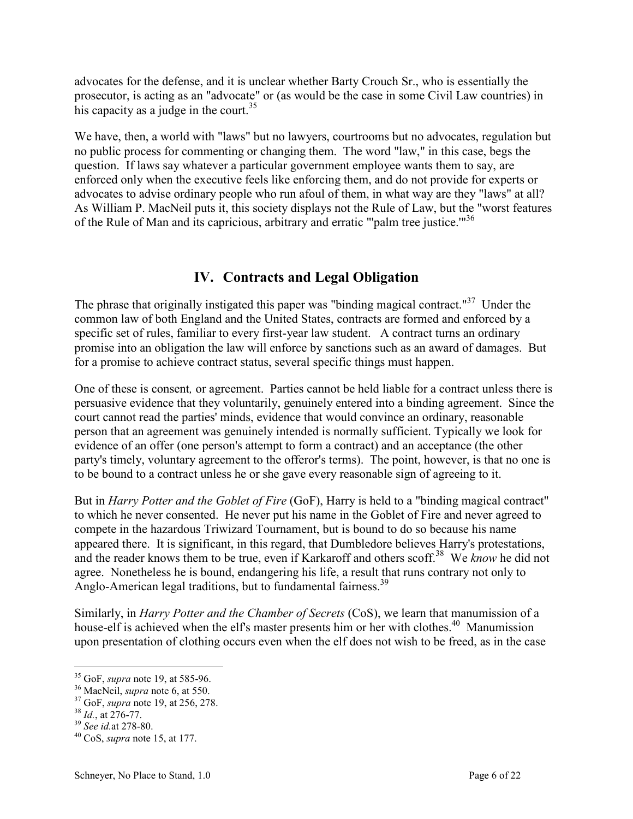<span id="page-6-0"></span>advocates for the defense, and it is unclear whether Barty Crouch Sr., who is essentially the prosecutor, is acting as an "advocate" or (as would be the case in some Civil Law countries) in his capacity as a judge in the court.<sup>35</sup>

We have, then, a world with "laws" but no lawyers, courtrooms but no advocates, regulation but no public process for commenting or changing them. The word "law," in this case, begs the question. If laws say whatever a particular government employee wants them to say, are enforced only when the executive feels like enforcing them, and do not provide for experts or advocates to advise ordinary people who run afoul of them, in what way are they "laws" at all? As William P. MacNeil puts it, this society displays not the Rule of Law, but the "worst features of the Rule of Man and its capricious, arbitrary and erratic "'palm tree justice.'"<sup>36</sup>

#### **IV. Contracts and Legal Obligation**

The phrase that originally instigated this paper was "binding magical contract."<sup>37</sup> Under the common law of both England and the United States, contracts are formed and enforced by a specific set of rules, familiar to every first-year law student. A contract turns an ordinary promise into an obligation the law will enforce by sanctions such as an award of damages. But for a promise to achieve contract status, several specific things must happen.

One of these is consent*,* or agreement. Parties cannot be held liable for a contract unless there is persuasive evidence that they voluntarily, genuinely entered into a binding agreement. Since the court cannot read the parties' minds, evidence that would convince an ordinary, reasonable person that an agreement was genuinely intended is normally sufficient. Typically we look for evidence of an offer (one person's attempt to form a contract) and an acceptance (the other party's timely, voluntary agreement to the offeror's terms). The point, however, is that no one is to be bound to a contract unless he or she gave every reasonable sign of agreeing to it.

But in *Harry Potter and the Goblet of Fire* (GoF), Harry is held to a "binding magical contract" to which he never consented. He never put his name in the Goblet of Fire and never agreed to compete in the hazardous Triwizard Tournament, but is bound to do so because his name appeared there. It is significant, in this regard, that Dumbledore believes Harry's protestations, and the reader knows them to be true, even if Karkaroff and others scoff.<sup>38</sup> We *know* he did not agree. Nonetheless he is bound, endangering his life, a result that runs contrary not only to Anglo-American legal traditions, but to fundamental fairness.<sup>39</sup>

Similarly, in *Harry Potter and the Chamber of Secrets* (CoS), we learn that manumission of a house-elf is achieved when the elf's master presents him or her with clothes.<sup>40</sup> Manumission upon presentation of clothing occurs even when the elf does not wish to be freed, as in the case

<sup>35</sup> GoF, *supra* note 19, at 585-96.

<sup>36</sup> MacNeil, *supra* note 6, at 550.

<sup>37</sup> GoF, *supra* note 19, at 256, 278.

<sup>38</sup> *Id.*, at 276-77.

<sup>39</sup> *See id.*at 278-80.

<sup>40</sup> CoS, *supra* note 15, at 177.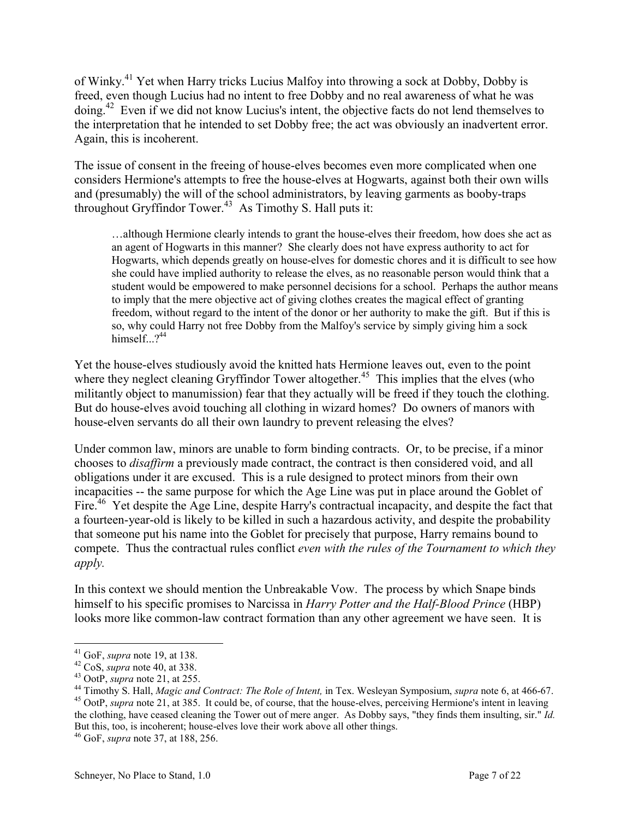of Winky.<sup>41</sup> Yet when Harry tricks Lucius Malfoy into throwing a sock at Dobby, Dobby is freed, even though Lucius had no intent to free Dobby and no real awareness of what he was doing.<sup>42</sup> Even if we did not know Lucius's intent, the objective facts do not lend themselves to the interpretation that he intended to set Dobby free; the act was obviously an inadvertent error. Again, this is incoherent.

The issue of consent in the freeing of house-elves becomes even more complicated when one considers Hermione's attempts to free the house-elves at Hogwarts, against both their own wills and (presumably) the will of the school administrators, by leaving garments as booby-traps throughout Gryffindor Tower.<sup>43</sup> As Timothy S. Hall puts it:

…although Hermione clearly intends to grant the house-elves their freedom, how does she act as an agent of Hogwarts in this manner? She clearly does not have express authority to act for Hogwarts, which depends greatly on house-elves for domestic chores and it is difficult to see how she could have implied authority to release the elves, as no reasonable person would think that a student would be empowered to make personnel decisions for a school. Perhaps the author means to imply that the mere objective act of giving clothes creates the magical effect of granting freedom, without regard to the intent of the donor or her authority to make the gift. But if this is so, why could Harry not free Dobby from the Malfoy's service by simply giving him a sock himself. $2^{44}$ 

Yet the house-elves studiously avoid the knitted hats Hermione leaves out, even to the point where they neglect cleaning Gryffindor Tower altogether.<sup>45</sup> This implies that the elves (who militantly object to manumission) fear that they actually will be freed if they touch the clothing. But do house-elves avoid touching all clothing in wizard homes? Do owners of manors with house-elven servants do all their own laundry to prevent releasing the elves?

Under common law, minors are unable to form binding contracts. Or, to be precise, if a minor chooses to *disaffirm* a previously made contract, the contract is then considered void, and all obligations under it are excused. This is a rule designed to protect minors from their own incapacities -- the same purpose for which the Age Line was put in place around the Goblet of Fire.<sup>46</sup> Yet despite the Age Line, despite Harry's contractual incapacity, and despite the fact that a fourteen-year-old is likely to be killed in such a hazardous activity, and despite the probability that someone put his name into the Goblet for precisely that purpose, Harry remains bound to compete. Thus the contractual rules conflict *even with the rules of the Tournament to which they apply.*

In this context we should mention the Unbreakable Vow. The process by which Snape binds himself to his specific promises to Narcissa in *Harry Potter and the Half-Blood Prince* (HBP) looks more like common-law contract formation than any other agreement we have seen. It is

 $\overline{a}$ <sup>41</sup> GoF, *supra* note 19, at 138.

<sup>42</sup> CoS, *supra* note 40, at 338.

<sup>43</sup> OotP, *supra* note 21, at 255.

<sup>44</sup> Timothy S. Hall, *Magic and Contract: The Role of Intent,* in Tex. Wesleyan Symposium, *supra* note 6, at 466-67. <sup>45</sup> OotP, *supra* note 21, at 385. It could be, of course, that the house-elves, perceiving Hermione's intent in leaving the clothing, have ceased cleaning the Tower out of mere anger. As Dobby says, "they finds them insulting, sir." *Id.* But this, too, is incoherent; house-elves love their work above all other things.

<sup>46</sup> GoF, *supra* note 37, at 188, 256.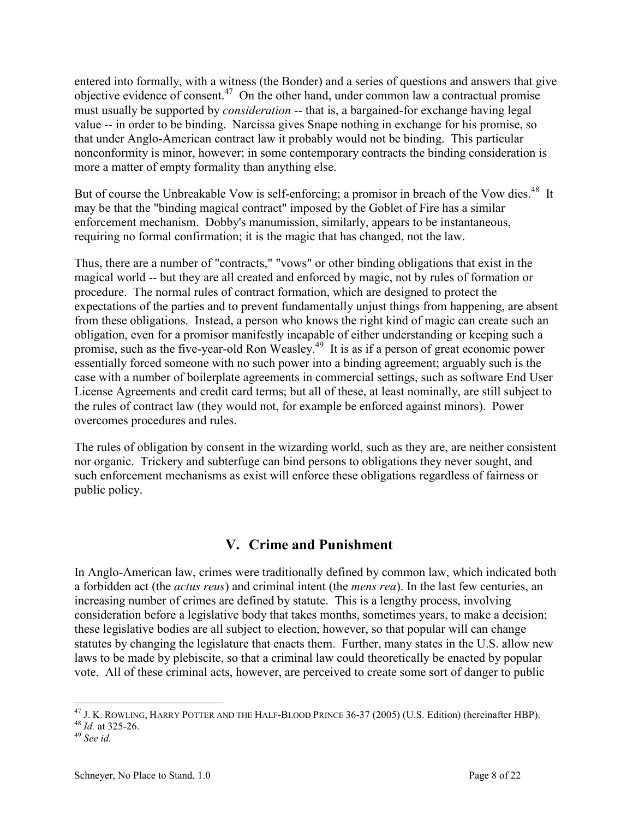<span id="page-8-0"></span>entered into formally, with a witness (the Bonder) and a series of questions and answers that give objective evidence of consent.<sup>47</sup> On the other hand, under common law a contractual promise must usually be supported by *consideration* -- that is, a bargained-for exchange having legal value -- in order to be binding. Narcissa gives Snape nothing in exchange for his promise, so that under Anglo-American contract law it probably would not be binding. This particular nonconformity is minor, however; in some contemporary contracts the binding consideration is more a matter of empty formality than anything else.

But of course the Unbreakable Vow is self-enforcing; a promisor in breach of the Vow dies.<sup>48</sup> It may be that the "binding magical contract" imposed by the Goblet of Fire has a similar enforcement mechanism. Dobby's manumission, similarly, appears to be instantaneous, requiring no formal confirmation; it is the magic that has changed, not the law.

Thus, there are a number of "contracts," "vows" or other binding obligations that exist in the magical world -- but they are all created and enforced by magic, not by rules of formation or procedure. The normal rules of contract formation, which are designed to protect the expectations of the parties and to prevent fundamentally unjust things from happening, are absent from these obligations. Instead, a person who knows the right kind of magic can create such an obligation, even for a promisor manifestly incapable of either understanding or keeping such a promise, such as the five-year-old Ron Weasley.<sup>49</sup> It is as if a person of great economic power essentially forced someone with no such power into a binding agreement; arguably such is the case with a number of boilerplate agreements in commercial settings, such as software End User License Agreements and credit card terms; but all of these, at least nominally, are still subject to the rules of contract law (they would not, for example be enforced against minors). Power overcomes procedures and rules.

The rules of obligation by consent in the wizarding world, such as they are, are neither consistent nor organic. Trickery and subterfuge can bind persons to obligations they never sought, and such enforcement mechanisms as exist will enforce these obligations regardless of fairness or public policy.

#### **V. Crime and Punishment**

In Anglo-American law, crimes were traditionally defined by common law, which indicated both a forbidden act (the *actus reus*) and criminal intent (the *mens rea*). In the last few centuries, an increasing number of crimes are defined by statute. This is a lengthy process, involving consideration before a legislative body that takes months, sometimes years, to make a decision; these legislative bodies are all subject to election, however, so that popular will can change statutes by changing the legislature that enacts them. Further, many states in the U.S. allow new laws to be made by plebiscite, so that a criminal law could theoretically be enacted by popular vote. All of these criminal acts, however, are perceived to create some sort of danger to public

 $\overline{a}$ <sup>47</sup> J. K. ROWLING, HARRY POTTER AND THE HALF-BLOOD PRINCE 36-37 (2005) (U.S. Edition) (hereinafter HBP).

<sup>48</sup> *Id.* at 325-26.

<sup>49</sup> *See id.*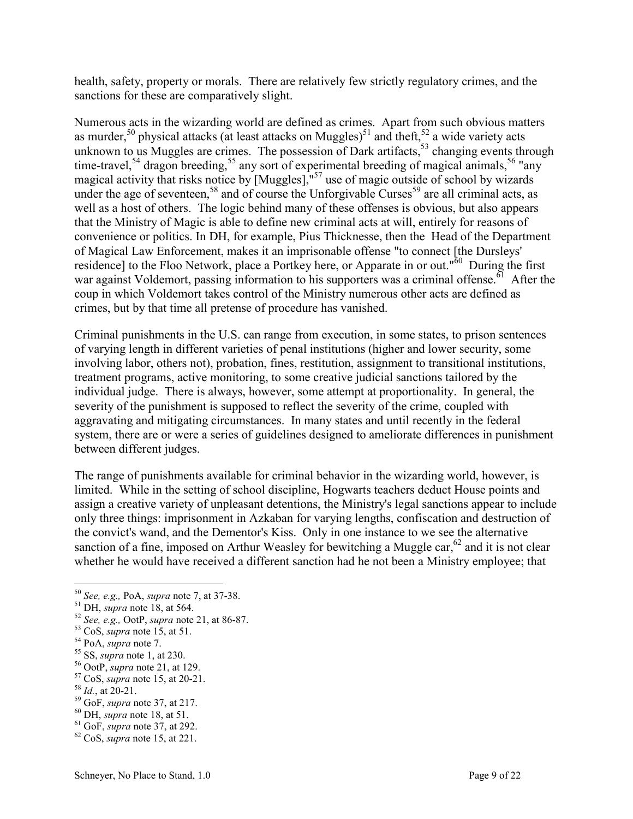health, safety, property or morals. There are relatively few strictly regulatory crimes, and the sanctions for these are comparatively slight.

Numerous acts in the wizarding world are defined as crimes. Apart from such obvious matters as murder,<sup>50</sup> physical attacks (at least attacks on Muggles)<sup>51</sup> and theft,<sup>52</sup> a wide variety acts unknown to us Muggles are crimes. The possession of Dark artifacts,  $53$  changing events through time-travel,<sup>54</sup> dragon breeding,<sup>55</sup> any sort of experimental breeding of magical animals,<sup>56</sup> "any" magical activity that risks notice by [Muggles],<sup>"57</sup> use of magic outside of school by wizards under the age of seventeen,<sup>58</sup> and of course the Unforgivable Curses<sup>59</sup> are all criminal acts, as well as a host of others. The logic behind many of these offenses is obvious, but also appears that the Ministry of Magic is able to define new criminal acts at will, entirely for reasons of convenience or politics. In DH, for example, Pius Thicknesse, then the Head of the Department of Magical Law Enforcement, makes it an imprisonable offense "to connect [the Dursleys' residence] to the Floo Network, place a Portkey here, or Apparate in or out."<sup>60</sup> During the first war against Voldemort, passing information to his supporters was a criminal offense.<sup> $61$ </sup> After the coup in which Voldemort takes control of the Ministry numerous other acts are defined as crimes, but by that time all pretense of procedure has vanished.

Criminal punishments in the U.S. can range from execution, in some states, to prison sentences of varying length in different varieties of penal institutions (higher and lower security, some involving labor, others not), probation, fines, restitution, assignment to transitional institutions, treatment programs, active monitoring, to some creative judicial sanctions tailored by the individual judge. There is always, however, some attempt at proportionality. In general, the severity of the punishment is supposed to reflect the severity of the crime, coupled with aggravating and mitigating circumstances. In many states and until recently in the federal system, there are or were a series of guidelines designed to ameliorate differences in punishment between different judges.

The range of punishments available for criminal behavior in the wizarding world, however, is limited. While in the setting of school discipline, Hogwarts teachers deduct House points and assign a creative variety of unpleasant detentions, the Ministry's legal sanctions appear to include only three things: imprisonment in Azkaban for varying lengths, confiscation and destruction of the convict's wand, and the Dementor's Kiss. Only in one instance to we see the alternative sanction of a fine, imposed on Arthur Weasley for bewitching a Muggle car,  $62$  and it is not clear whether he would have received a different sanction had he not been a Ministry employee; that

<sup>50</sup> *See, e.g.,* PoA, *supra* note 7, at 37-38.

<sup>51</sup> DH, *supra* note 18, at 564.

<sup>52</sup> *See, e.g.,* OotP, *supra* note 21, at 86-87.

<sup>53</sup> CoS, *supra* note 15, at 51.

<sup>54</sup> PoA, *supra* note 7.

<sup>55</sup> SS, *supra* note 1, at 230.

<sup>56</sup> OotP, *supra* note 21, at 129.

<sup>57</sup> CoS, *supra* note 15, at 20-21.

 $^{58}$  *Id.*, at 20-21.

<sup>59</sup> GoF, *supra* note 37, at 217.

<sup>60</sup> DH, *supra* note 18, at 51.

<sup>61</sup> GoF, *supra* note 37, at 292.

<sup>62</sup> CoS, *supra* note 15, at 221.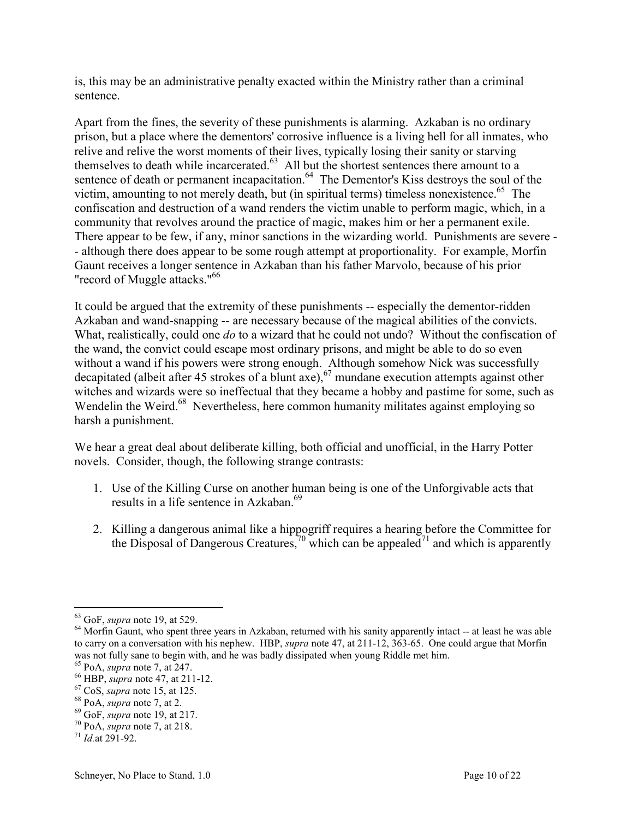is, this may be an administrative penalty exacted within the Ministry rather than a criminal sentence.

Apart from the fines, the severity of these punishments is alarming. Azkaban is no ordinary prison, but a place where the dementors' corrosive influence is a living hell for all inmates, who relive and relive the worst moments of their lives, typically losing their sanity or starving themselves to death while incarcerated. $63$  All but the shortest sentences there amount to a sentence of death or permanent incapacitation.<sup>64</sup> The Dementor's Kiss destroys the soul of the victim, amounting to not merely death, but (in spiritual terms) timeless nonexistence.<sup>65</sup> The confiscation and destruction of a wand renders the victim unable to perform magic, which, in a community that revolves around the practice of magic, makes him or her a permanent exile. There appear to be few, if any, minor sanctions in the wizarding world. Punishments are severe - - although there does appear to be some rough attempt at proportionality. For example, Morfin Gaunt receives a longer sentence in Azkaban than his father Marvolo, because of his prior "record of Muggle attacks."<sup>66</sup>

It could be argued that the extremity of these punishments -- especially the dementor-ridden Azkaban and wand-snapping -- are necessary because of the magical abilities of the convicts. What, realistically, could one *do* to a wizard that he could not undo? Without the confiscation of the wand, the convict could escape most ordinary prisons, and might be able to do so even without a wand if his powers were strong enough. Although somehow Nick was successfully decapitated (albeit after 45 strokes of a blunt axe),<sup>67</sup> mundane execution attempts against other witches and wizards were so ineffectual that they became a hobby and pastime for some, such as Wendelin the Weird.<sup>68</sup> Nevertheless, here common humanity militates against employing so harsh a punishment.

We hear a great deal about deliberate killing, both official and unofficial, in the Harry Potter novels. Consider, though, the following strange contrasts:

- 1. Use of the Killing Curse on another human being is one of the Unforgivable acts that results in a life sentence in Azkaban.<sup>69</sup>
- 2. Killing a dangerous animal like a hippogriff requires a hearing before the Committee for the Disposal of Dangerous Creatures,<sup>70</sup> which can be appealed<sup>71</sup> and which is apparently

 $\overline{a}$ <sup>63</sup> GoF, *supra* note 19, at 529.

<sup>&</sup>lt;sup>64</sup> Morfin Gaunt, who spent three years in Azkaban, returned with his sanity apparently intact -- at least he was able to carry on a conversation with his nephew. HBP, *supra* note 47, at 211-12, 363-65. One could argue that Morfin was not fully sane to begin with, and he was badly dissipated when young Riddle met him.

<sup>65</sup> PoA, *supra* note 7, at 247.

<sup>66</sup> HBP, *supra* note 47, at 211-12.

<sup>67</sup> CoS, *supra* note 15, at 125.

<sup>68</sup> PoA, *supra* note 7, at 2.

<sup>69</sup> GoF, *supra* note 19, at 217.

<sup>70</sup> PoA, *supra* note 7, at 218.

<sup>71</sup> *Id.*at 291-92.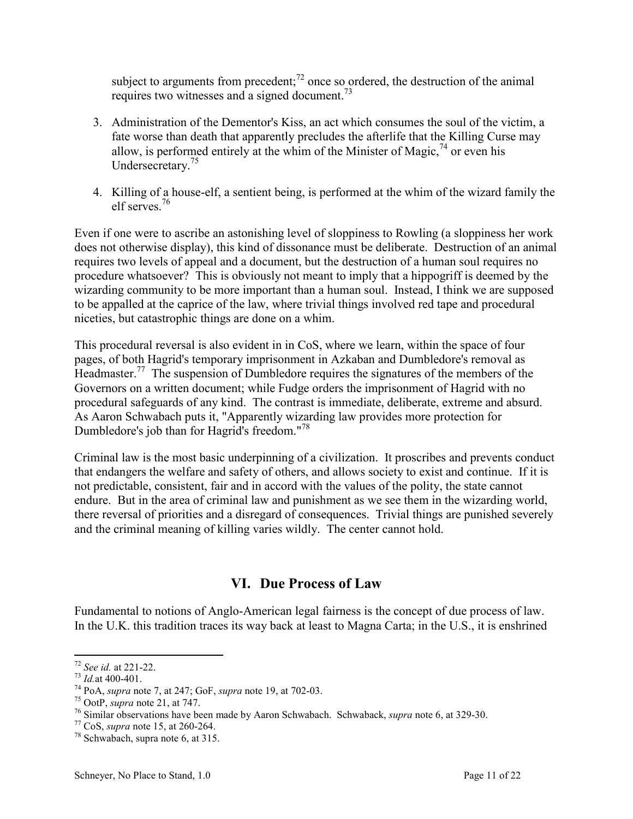<span id="page-11-0"></span>subject to arguments from precedent; $^{72}$  once so ordered, the destruction of the animal requires two witnesses and a signed document.<sup>73</sup>

- 3. Administration of the Dementor's Kiss, an act which consumes the soul of the victim, a fate worse than death that apparently precludes the afterlife that the Killing Curse may allow, is performed entirely at the whim of the Minister of Magic,  $^{74}$  or even his Undersecretary.<sup>75</sup>
- 4. Killing of a house-elf, a sentient being, is performed at the whim of the wizard family the elf serves.<sup>76</sup>

Even if one were to ascribe an astonishing level of sloppiness to Rowling (a sloppiness her work does not otherwise display), this kind of dissonance must be deliberate. Destruction of an animal requires two levels of appeal and a document, but the destruction of a human soul requires no procedure whatsoever? This is obviously not meant to imply that a hippogriff is deemed by the wizarding community to be more important than a human soul. Instead, I think we are supposed to be appalled at the caprice of the law, where trivial things involved red tape and procedural niceties, but catastrophic things are done on a whim.

This procedural reversal is also evident in in CoS, where we learn, within the space of four pages, of both Hagrid's temporary imprisonment in Azkaban and Dumbledore's removal as Headmaster.<sup>77</sup> The suspension of Dumbledore requires the signatures of the members of the Governors on a written document; while Fudge orders the imprisonment of Hagrid with no procedural safeguards of any kind. The contrast is immediate, deliberate, extreme and absurd. As Aaron Schwabach puts it, "Apparently wizarding law provides more protection for Dumbledore's job than for Hagrid's freedom."<sup>78</sup>

Criminal law is the most basic underpinning of a civilization. It proscribes and prevents conduct that endangers the welfare and safety of others, and allows society to exist and continue. If it is not predictable, consistent, fair and in accord with the values of the polity, the state cannot endure. But in the area of criminal law and punishment as we see them in the wizarding world, there reversal of priorities and a disregard of consequences. Trivial things are punished severely and the criminal meaning of killing varies wildly. The center cannot hold.

#### **VI. Due Process of Law**

Fundamental to notions of Anglo-American legal fairness is the concept of due process of law. In the U.K. this tradition traces its way back at least to Magna Carta; in the U.S., it is enshrined

 $\overline{a}$ <sup>72</sup> *See id.* at 221-22.

 $^{73}$  *Id.*at 400-401.

<sup>74</sup> PoA, *supra* note 7, at 247; GoF, *supra* note 19, at 702-03.

<sup>75</sup> OotP, *supra* note 21, at 747.

<sup>76</sup> Similar observations have been made by Aaron Schwabach. Schwaback, *supra* note 6, at 329-30.

<sup>77</sup> CoS, *supra* note 15, at 260-264.

<sup>78</sup> Schwabach, supra note 6, at 315.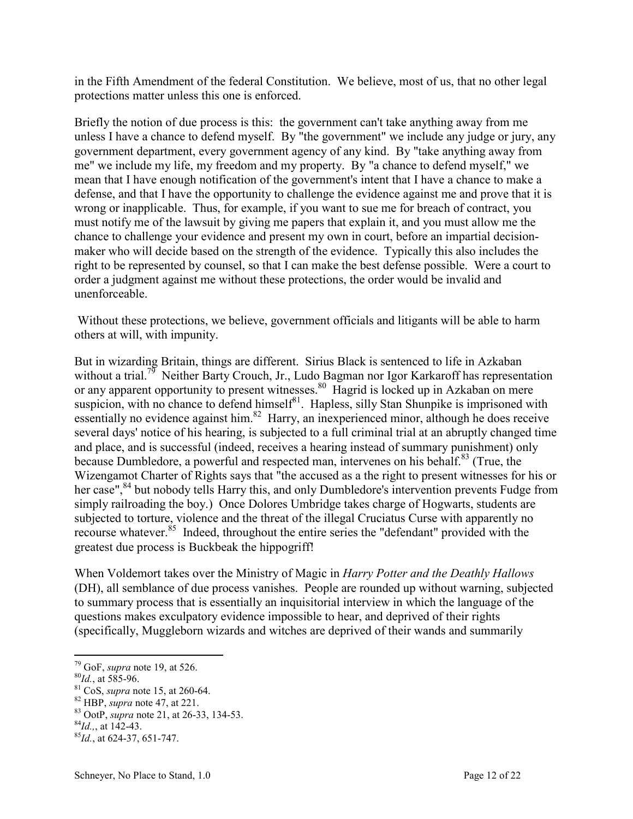in the Fifth Amendment of the federal Constitution. We believe, most of us, that no other legal protections matter unless this one is enforced.

Briefly the notion of due process is this: the government can't take anything away from me unless I have a chance to defend myself. By "the government" we include any judge or jury, any government department, every government agency of any kind. By "take anything away from me" we include my life, my freedom and my property. By "a chance to defend myself," we mean that I have enough notification of the government's intent that I have a chance to make a defense, and that I have the opportunity to challenge the evidence against me and prove that it is wrong or inapplicable. Thus, for example, if you want to sue me for breach of contract, you must notify me of the lawsuit by giving me papers that explain it, and you must allow me the chance to challenge your evidence and present my own in court, before an impartial decisionmaker who will decide based on the strength of the evidence. Typically this also includes the right to be represented by counsel, so that I can make the best defense possible. Were a court to order a judgment against me without these protections, the order would be invalid and unenforceable.

 Without these protections, we believe, government officials and litigants will be able to harm others at will, with impunity.

But in wizarding Britain, things are different. Sirius Black is sentenced to life in Azkaban without a trial.<sup>79</sup> Neither Barty Crouch, Jr., Ludo Bagman nor Igor Karkaroff has representation or any apparent opportunity to present witnesses.<sup>80</sup> Hagrid is locked up in Azkaban on mere suspicion, with no chance to defend himself $\delta$ <sup>81</sup>. Hapless, silly Stan Shunpike is imprisoned with essentially no evidence against him.<sup>82</sup> Harry, an inexperienced minor, although he does receive several days' notice of his hearing, is subjected to a full criminal trial at an abruptly changed time and place, and is successful (indeed, receives a hearing instead of summary punishment) only because Dumbledore, a powerful and respected man, intervenes on his behalf.<sup>83</sup> (True, the Wizengamot Charter of Rights says that "the accused as a the right to present witnesses for his or her case",<sup>84</sup> but nobody tells Harry this, and only Dumbledore's intervention prevents Fudge from simply railroading the boy.) Once Dolores Umbridge takes charge of Hogwarts, students are subjected to torture, violence and the threat of the illegal Cruciatus Curse with apparently no recourse whatever.<sup>85</sup> Indeed, throughout the entire series the "defendant" provided with the greatest due process is Buckbeak the hippogriff!

When Voldemort takes over the Ministry of Magic in *Harry Potter and the Deathly Hallows*  (DH), all semblance of due process vanishes. People are rounded up without warning, subjected to summary process that is essentially an inquisitorial interview in which the language of the questions makes exculpatory evidence impossible to hear, and deprived of their rights (specifically, Muggleborn wizards and witches are deprived of their wands and summarily

<sup>79</sup> GoF, *supra* note 19, at 526.

<sup>80</sup>*Id.*, at 585-96.

<sup>81</sup> CoS, *supra* note 15, at 260-64.

<sup>82</sup> HBP, *supra* note 47, at 221.

<sup>83</sup> OotP, *supra* note 21, at 26-33, 134-53.

 $^{84}$ *Id.*, at 142-43.

<sup>85</sup>*Id.*, at 624-37, 651-747.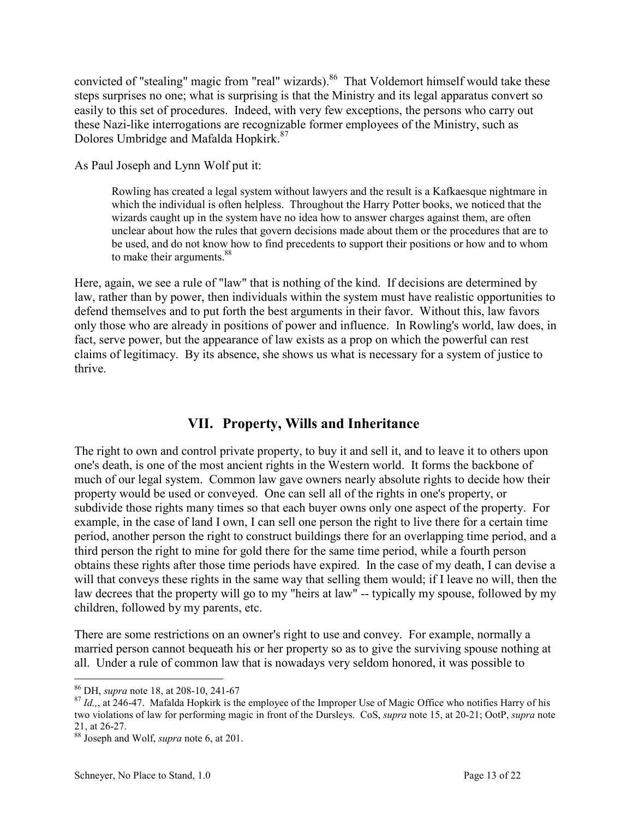<span id="page-13-0"></span>convicted of "stealing" magic from "real" wizards).<sup>86</sup> That Voldemort himself would take these steps surprises no one; what is surprising is that the Ministry and its legal apparatus convert so easily to this set of procedures. Indeed, with very few exceptions, the persons who carry out these Nazi-like interrogations are recognizable former employees of the Ministry, such as Dolores Umbridge and Mafalda Hopkirk.<sup>87</sup>

As Paul Joseph and Lynn Wolf put it:

Rowling has created a legal system without lawyers and the result is a Kafkaesque nightmare in which the individual is often helpless. Throughout the Harry Potter books, we noticed that the wizards caught up in the system have no idea how to answer charges against them, are often unclear about how the rules that govern decisions made about them or the procedures that are to be used, and do not know how to find precedents to support their positions or how and to whom to make their arguments.<sup>88</sup>

Here, again, we see a rule of "law" that is nothing of the kind. If decisions are determined by law, rather than by power, then individuals within the system must have realistic opportunities to defend themselves and to put forth the best arguments in their favor. Without this, law favors only those who are already in positions of power and influence. In Rowling's world, law does, in fact, serve power, but the appearance of law exists as a prop on which the powerful can rest claims of legitimacy. By its absence, she shows us what is necessary for a system of justice to thrive.

#### **VII. Property, Wills and Inheritance**

The right to own and control private property, to buy it and sell it, and to leave it to others upon one's death, is one of the most ancient rights in the Western world. It forms the backbone of much of our legal system. Common law gave owners nearly absolute rights to decide how their property would be used or conveyed. One can sell all of the rights in one's property, or subdivide those rights many times so that each buyer owns only one aspect of the property. For example, in the case of land I own, I can sell one person the right to live there for a certain time period, another person the right to construct buildings there for an overlapping time period, and a third person the right to mine for gold there for the same time period, while a fourth person obtains these rights after those time periods have expired. In the case of my death, I can devise a will that conveys these rights in the same way that selling them would; if I leave no will, then the law decrees that the property will go to my "heirs at law" -- typically my spouse, followed by my children, followed by my parents, etc.

There are some restrictions on an owner's right to use and convey. For example, normally a married person cannot bequeath his or her property so as to give the surviving spouse nothing at all. Under a rule of common law that is nowadays very seldom honored, it was possible to

 $\overline{a}$ <sup>86</sup> DH, *supra* note 18, at 208-10, 241-67

<sup>&</sup>lt;sup>87</sup> *Id.*, at 246-47. Mafalda Hopkirk is the employee of the Improper Use of Magic Office who notifies Harry of his two violations of law for performing magic in front of the Dursleys. CoS, *supra* note 15, at 20-21; OotP, *supra* note 21, at 26-27.

<sup>88</sup> Joseph and Wolf, *supra* note 6, at 201.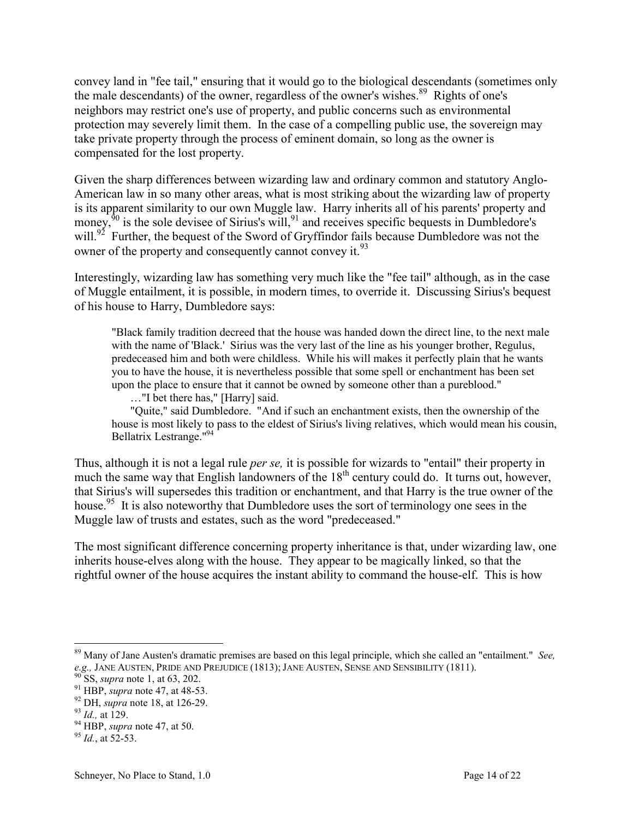convey land in "fee tail," ensuring that it would go to the biological descendants (sometimes only the male descendants) of the owner, regardless of the owner's wishes.<sup>89</sup> Rights of one's neighbors may restrict one's use of property, and public concerns such as environmental protection may severely limit them. In the case of a compelling public use, the sovereign may take private property through the process of eminent domain, so long as the owner is compensated for the lost property.

Given the sharp differences between wizarding law and ordinary common and statutory Anglo-American law in so many other areas, what is most striking about the wizarding law of property is its apparent similarity to our own Muggle law. Harry inherits all of his parents' property and money,  $90$  is the sole devisee of Sirius's will,  $91$  and receives specific bequests in Dumbledore's will.<sup>92</sup> Further, the bequest of the Sword of Gryffindor fails because Dumbledore was not the owner of the property and consequently cannot convey it.<sup>93</sup>

Interestingly, wizarding law has something very much like the "fee tail" although, as in the case of Muggle entailment, it is possible, in modern times, to override it. Discussing Sirius's bequest of his house to Harry, Dumbledore says:

"Black family tradition decreed that the house was handed down the direct line, to the next male with the name of 'Black.' Sirius was the very last of the line as his younger brother, Regulus, predeceased him and both were childless. While his will makes it perfectly plain that he wants you to have the house, it is nevertheless possible that some spell or enchantment has been set upon the place to ensure that it cannot be owned by someone other than a pureblood."

…"I bet there has," [Harry] said.

"Quite," said Dumbledore. "And if such an enchantment exists, then the ownership of the house is most likely to pass to the eldest of Sirius's living relatives, which would mean his cousin, Bellatrix Lestrange."<sup>94</sup>

Thus, although it is not a legal rule *per se,* it is possible for wizards to "entail" their property in much the same way that English landowners of the  $18<sup>th</sup>$  century could do. It turns out, however, that Sirius's will supersedes this tradition or enchantment, and that Harry is the true owner of the house.<sup>95</sup> It is also noteworthy that Dumbledore uses the sort of terminology one sees in the Muggle law of trusts and estates, such as the word "predeceased."

The most significant difference concerning property inheritance is that, under wizarding law, one inherits house-elves along with the house. They appear to be magically linked, so that the rightful owner of the house acquires the instant ability to command the house-elf. This is how

<sup>89</sup> Many of Jane Austen's dramatic premises are based on this legal principle, which she called an "entailment." *See, e.g.*, JANE AUSTEN, PRIDE AND PREJUDICE (1813); JANE AUSTEN, SENSE AND SENSIBILITY (1811).

<sup>90</sup> SS, *supra* note 1, at 63, 202.

<sup>91</sup> HBP, *supra* note 47, at 48-53.

<sup>92</sup> DH, *supra* note 18, at 126-29.

<sup>93</sup> *Id.,* at 129.

<sup>94</sup> HBP, *supra* note 47, at 50.

<sup>95</sup> *Id.*, at 52-53.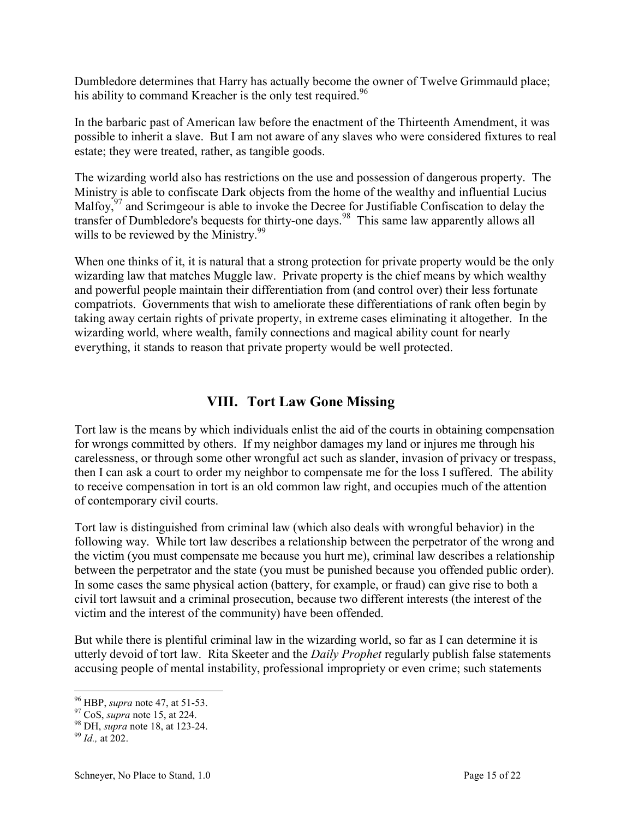<span id="page-15-0"></span>Dumbledore determines that Harry has actually become the owner of Twelve Grimmauld place; his ability to command Kreacher is the only test required.<sup>96</sup>

In the barbaric past of American law before the enactment of the Thirteenth Amendment, it was possible to inherit a slave. But I am not aware of any slaves who were considered fixtures to real estate; they were treated, rather, as tangible goods.

The wizarding world also has restrictions on the use and possession of dangerous property. The Ministry is able to confiscate Dark objects from the home of the wealthy and influential Lucius Malfoy,<sup>97</sup> and Scrimgeour is able to invoke the Decree for Justifiable Confiscation to delay the transfer of Dumbledore's bequests for thirty-one days.<sup>98</sup> This same law apparently allows all wills to be reviewed by the Ministry.<sup>99</sup>

When one thinks of it, it is natural that a strong protection for private property would be the only wizarding law that matches Muggle law. Private property is the chief means by which wealthy and powerful people maintain their differentiation from (and control over) their less fortunate compatriots. Governments that wish to ameliorate these differentiations of rank often begin by taking away certain rights of private property, in extreme cases eliminating it altogether. In the wizarding world, where wealth, family connections and magical ability count for nearly everything, it stands to reason that private property would be well protected.

#### **VIII. Tort Law Gone Missing**

Tort law is the means by which individuals enlist the aid of the courts in obtaining compensation for wrongs committed by others. If my neighbor damages my land or injures me through his carelessness, or through some other wrongful act such as slander, invasion of privacy or trespass, then I can ask a court to order my neighbor to compensate me for the loss I suffered. The ability to receive compensation in tort is an old common law right, and occupies much of the attention of contemporary civil courts.

Tort law is distinguished from criminal law (which also deals with wrongful behavior) in the following way. While tort law describes a relationship between the perpetrator of the wrong and the victim (you must compensate me because you hurt me), criminal law describes a relationship between the perpetrator and the state (you must be punished because you offended public order). In some cases the same physical action (battery, for example, or fraud) can give rise to both a civil tort lawsuit and a criminal prosecution, because two different interests (the interest of the victim and the interest of the community) have been offended.

But while there is plentiful criminal law in the wizarding world, so far as I can determine it is utterly devoid of tort law. Rita Skeeter and the *Daily Prophet* regularly publish false statements accusing people of mental instability, professional impropriety or even crime; such statements

 $\overline{a}$ <sup>96</sup> HBP, *supra* note 47, at 51-53.

<sup>97</sup> CoS, *supra* note 15, at 224.

<sup>98</sup> DH, *supra* note 18, at 123-24.

<sup>99</sup> *Id.,* at 202.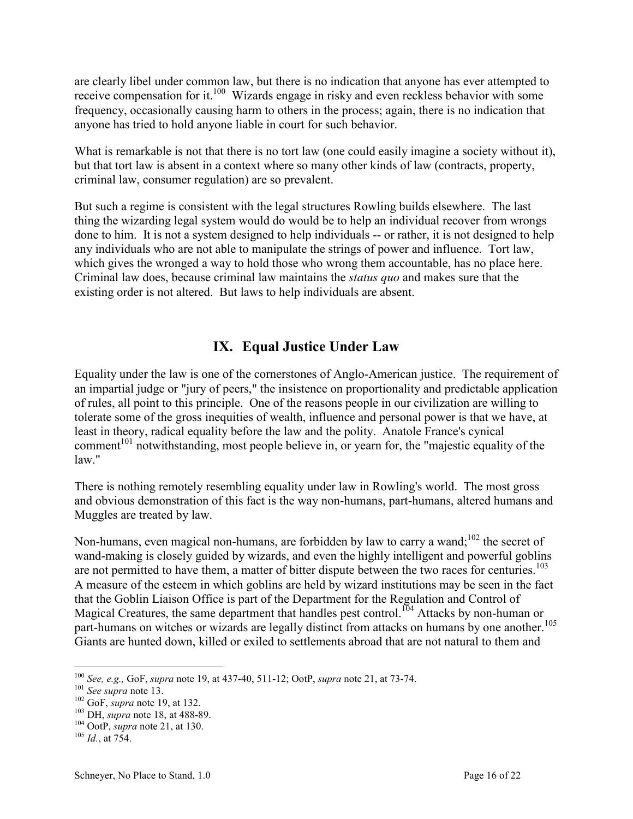<span id="page-16-0"></span>are clearly libel under common law, but there is no indication that anyone has ever attempted to receive compensation for it.<sup>100</sup> Wizards engage in risky and even reckless behavior with some frequency, occasionally causing harm to others in the process; again, there is no indication that anyone has tried to hold anyone liable in court for such behavior.

What is remarkable is not that there is no tort law (one could easily imagine a society without it), but that tort law is absent in a context where so many other kinds of law (contracts, property, criminal law, consumer regulation) are so prevalent.

But such a regime is consistent with the legal structures Rowling builds elsewhere. The last thing the wizarding legal system would do would be to help an individual recover from wrongs done to him. It is not a system designed to help individuals -- or rather, it is not designed to help any individuals who are not able to manipulate the strings of power and influence. Tort law, which gives the wronged a way to hold those who wrong them accountable, has no place here. Criminal law does, because criminal law maintains the *status quo* and makes sure that the existing order is not altered. But laws to help individuals are absent.

#### **IX. Equal Justice Under Law**

Equality under the law is one of the cornerstones of Anglo-American justice. The requirement of an impartial judge or "jury of peers," the insistence on proportionality and predictable application of rules, all point to this principle. One of the reasons people in our civilization are willing to tolerate some of the gross inequities of wealth, influence and personal power is that we have, at least in theory, radical equality before the law and the polity. Anatole France's cynical comment<sup> $101$ </sup> notwithstanding, most people believe in, or yearn for, the "majestic equality of the law."

There is nothing remotely resembling equality under law in Rowling's world. The most gross and obvious demonstration of this fact is the way non-humans, part-humans, altered humans and Muggles are treated by law.

Non-humans, even magical non-humans, are forbidden by law to carry a wand;<sup>102</sup> the secret of wand-making is closely guided by wizards, and even the highly intelligent and powerful goblins are not permitted to have them, a matter of bitter dispute between the two races for centuries.<sup>103</sup> A measure of the esteem in which goblins are held by wizard institutions may be seen in the fact that the Goblin Liaison Office is part of the Department for the Regulation and Control of Magical Creatures, the same department that handles pest control.<sup>104</sup> Attacks by non-human or part-humans on witches or wizards are legally distinct from attacks on humans by one another.<sup>105</sup> Giants are hunted down, killed or exiled to settlements abroad that are not natural to them and

 $\overline{a}$ <sup>100</sup> *See, e.g.,* GoF, *supra* note 19, at 437-40, 511-12; OotP, *supra* note 21, at 73-74.

<sup>101</sup> *See supra* note 13.

<sup>102</sup> GoF, *supra* note 19, at 132.

<sup>103</sup> DH, *supra* note 18, at 488-89.

<sup>104</sup> OotP, *supra* note 21, at 130.

 $^{105}$  *Id.*, at 754.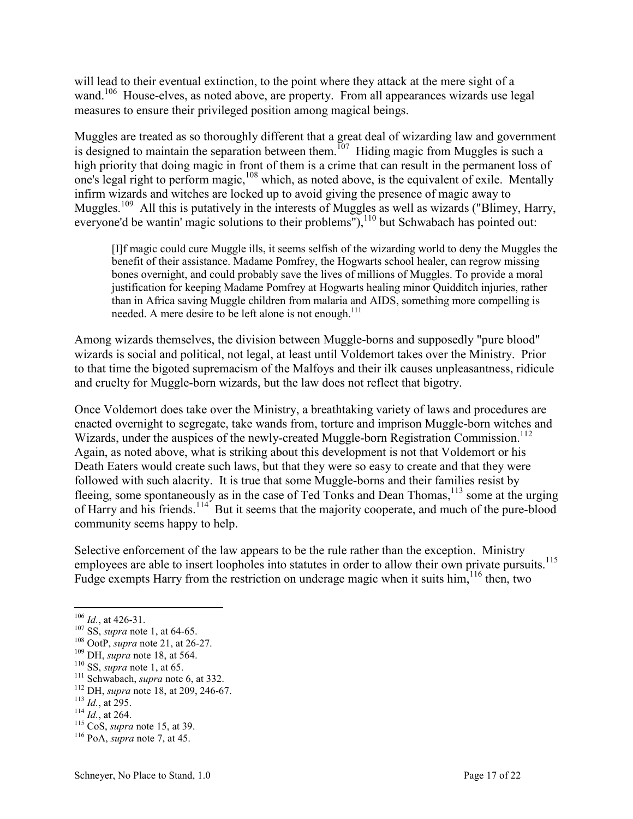will lead to their eventual extinction, to the point where they attack at the mere sight of a wand.<sup>106</sup> House-elves, as noted above, are property. From all appearances wizards use legal measures to ensure their privileged position among magical beings.

Muggles are treated as so thoroughly different that a great deal of wizarding law and government is designed to maintain the separation between them.<sup>107</sup> Hiding magic from Muggles is such a high priority that doing magic in front of them is a crime that can result in the permanent loss of one's legal right to perform magic,<sup>108</sup> which, as noted above, is the equivalent of exile. Mentally infirm wizards and witches are locked up to avoid giving the presence of magic away to Muggles.<sup>109</sup> All this is putatively in the interests of Muggles as well as wizards ("Blimey, Harry, everyone'd be wantin' magic solutions to their problems"), $^{110}$  but Schwabach has pointed out:

[I]f magic could cure Muggle ills, it seems selfish of the wizarding world to deny the Muggles the benefit of their assistance. Madame Pomfrey, the Hogwarts school healer, can regrow missing bones overnight, and could probably save the lives of millions of Muggles. To provide a moral justification for keeping Madame Pomfrey at Hogwarts healing minor Quidditch injuries, rather than in Africa saving Muggle children from malaria and AIDS, something more compelling is needed. A mere desire to be left alone is not enough. $111$ 

Among wizards themselves, the division between Muggle-borns and supposedly "pure blood" wizards is social and political, not legal, at least until Voldemort takes over the Ministry. Prior to that time the bigoted supremacism of the Malfoys and their ilk causes unpleasantness, ridicule and cruelty for Muggle-born wizards, but the law does not reflect that bigotry.

Once Voldemort does take over the Ministry, a breathtaking variety of laws and procedures are enacted overnight to segregate, take wands from, torture and imprison Muggle-born witches and Wizards, under the auspices of the newly-created Muggle-born Registration Commission.<sup>112</sup> Again, as noted above, what is striking about this development is not that Voldemort or his Death Eaters would create such laws, but that they were so easy to create and that they were followed with such alacrity. It is true that some Muggle-borns and their families resist by fleeing, some spontaneously as in the case of Ted Tonks and Dean Thomas,<sup>113</sup> some at the urging of Harry and his friends.<sup>114</sup> But it seems that the majority cooperate, and much of the pure-blood community seems happy to help.

Selective enforcement of the law appears to be the rule rather than the exception. Ministry employees are able to insert loopholes into statutes in order to allow their own private pursuits.<sup>115</sup> Fudge exempts Harry from the restriction on underage magic when it suits him, <sup>116</sup> then, two

 $106$  *Id.*, at 426-31.

<sup>107</sup> SS, *supra* note 1, at 64-65.

<sup>108</sup> OotP, *supra* note 21, at 26-27.

<sup>109</sup> DH, *supra* note 18, at 564.

<sup>110</sup> SS, *supra* note 1, at 65.

<sup>111</sup> Schwabach, *supra* note 6, at 332.

<sup>112</sup> DH, *supra* note 18, at 209, 246-67.

<sup>113</sup> *Id.*, at 295.

<sup>114</sup> *Id.*, at 264.

<sup>115</sup> CoS, *supra* note 15, at 39.

<sup>116</sup> PoA, *supra* note 7, at 45.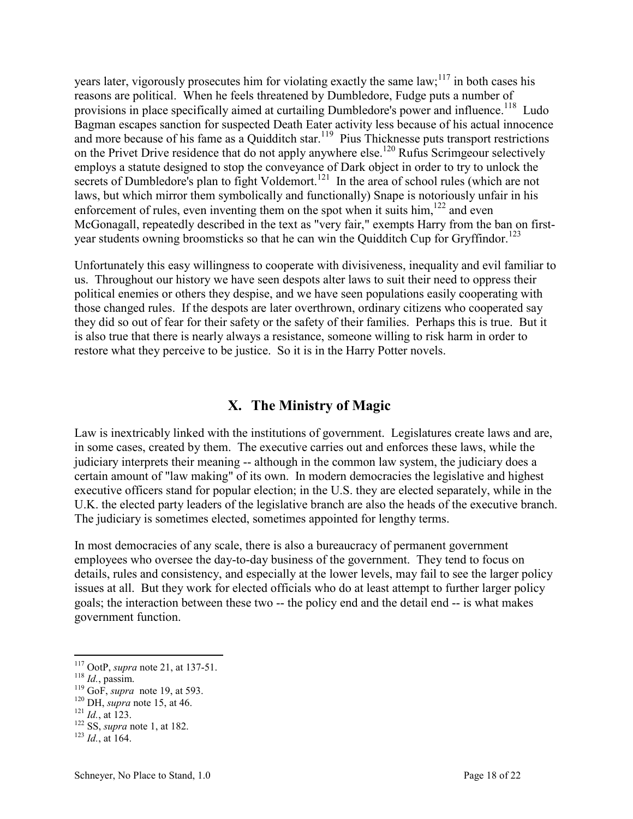<span id="page-18-0"></span>years later, vigorously prosecutes him for violating exactly the same law;<sup>117</sup> in both cases his reasons are political. When he feels threatened by Dumbledore, Fudge puts a number of provisions in place specifically aimed at curtailing Dumbledore's power and influence.<sup>118</sup> Ludo Bagman escapes sanction for suspected Death Eater activity less because of his actual innocence and more because of his fame as a Quidditch star.<sup>119</sup> Pius Thicknesse puts transport restrictions on the Privet Drive residence that do not apply anywhere else.<sup>120</sup> Rufus Scrimgeour selectively employs a statute designed to stop the conveyance of Dark object in order to try to unlock the secrets of Dumbledore's plan to fight Voldemort.<sup>121</sup> In the area of school rules (which are not laws, but which mirror them symbolically and functionally) Snape is notoriously unfair in his enforcement of rules, even inventing them on the spot when it suits him, $122$  and even McGonagall, repeatedly described in the text as "very fair," exempts Harry from the ban on firstyear students owning broomsticks so that he can win the Quidditch Cup for Gryffindor.<sup>123</sup>

Unfortunately this easy willingness to cooperate with divisiveness, inequality and evil familiar to us. Throughout our history we have seen despots alter laws to suit their need to oppress their political enemies or others they despise, and we have seen populations easily cooperating with those changed rules. If the despots are later overthrown, ordinary citizens who cooperated say they did so out of fear for their safety or the safety of their families. Perhaps this is true. But it is also true that there is nearly always a resistance, someone willing to risk harm in order to restore what they perceive to be justice. So it is in the Harry Potter novels.

#### **X. The Ministry of Magic**

Law is inextricably linked with the institutions of government. Legislatures create laws and are, in some cases, created by them. The executive carries out and enforces these laws, while the judiciary interprets their meaning -- although in the common law system, the judiciary does a certain amount of "law making" of its own. In modern democracies the legislative and highest executive officers stand for popular election; in the U.S. they are elected separately, while in the U.K. the elected party leaders of the legislative branch are also the heads of the executive branch. The judiciary is sometimes elected, sometimes appointed for lengthy terms.

In most democracies of any scale, there is also a bureaucracy of permanent government employees who oversee the day-to-day business of the government. They tend to focus on details, rules and consistency, and especially at the lower levels, may fail to see the larger policy issues at all. But they work for elected officials who do at least attempt to further larger policy goals; the interaction between these two -- the policy end and the detail end -- is what makes government function.

<sup>117</sup> OotP, *supra* note 21, at 137-51.

<sup>118</sup> *Id.*, passim.

<sup>119</sup> GoF, *supra* note 19, at 593.

<sup>120</sup> DH, *supra* note 15, at 46.

 $121$  *Id.*, at 123.

<sup>122</sup> SS, *supra* note 1, at 182.

 $^{123}$  *Id.*, at 164.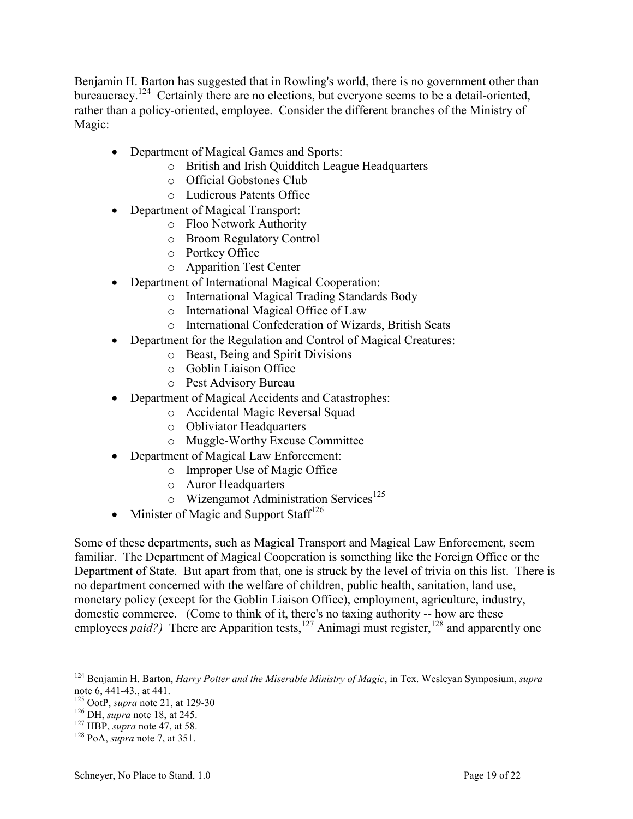Benjamin H. Barton has suggested that in Rowling's world, there is no government other than bureaucracy.<sup>124</sup> Certainly there are no elections, but everyone seems to be a detail-oriented, rather than a policy-oriented, employee. Consider the different branches of the Ministry of Magic:

- Department of Magical Games and Sports:
	- o British and Irish Quidditch League Headquarters
	- o Official Gobstones Club
	- o Ludicrous Patents Office
- Department of Magical Transport:
	- o Floo Network Authority
	- o Broom Regulatory Control
	- o Portkey Office
	- o Apparition Test Center
- Department of International Magical Cooperation:
	- o International Magical Trading Standards Body
	- o International Magical Office of Law
	- o International Confederation of Wizards, British Seats
- Department for the Regulation and Control of Magical Creatures:
	- o Beast, Being and Spirit Divisions
	- o Goblin Liaison Office
	- o Pest Advisory Bureau
- Department of Magical Accidents and Catastrophes:
	- o Accidental Magic Reversal Squad
	- o Obliviator Headquarters
	- o Muggle-Worthy Excuse Committee
- Department of Magical Law Enforcement:
	- o Improper Use of Magic Office
	- o Auror Headquarters
	- $\circ$  Wizengamot Administration Services<sup>125</sup>
- Minister of Magic and Support Staff<sup>126</sup>

Some of these departments, such as Magical Transport and Magical Law Enforcement, seem familiar. The Department of Magical Cooperation is something like the Foreign Office or the Department of State. But apart from that, one is struck by the level of trivia on this list. There is no department concerned with the welfare of children, public health, sanitation, land use, monetary policy (except for the Goblin Liaison Office), employment, agriculture, industry, domestic commerce. (Come to think of it, there's no taxing authority -- how are these employees *paid?*) There are Apparition tests,<sup>127</sup> Animagi must register,<sup>128</sup> and apparently one

 $\overline{a}$ <sup>124</sup> Benjamin H. Barton, *Harry Potter and the Miserable Ministry of Magic*, in Tex. Wesleyan Symposium, *supra*  note 6, 441-43., at 441.

<sup>125</sup> OotP, *supra* note 21, at 129-30

<sup>126</sup> DH, *supra* note 18, at 245.

<sup>127</sup> HBP, *supra* note 47, at 58.

<sup>128</sup> PoA, *supra* note 7, at 351.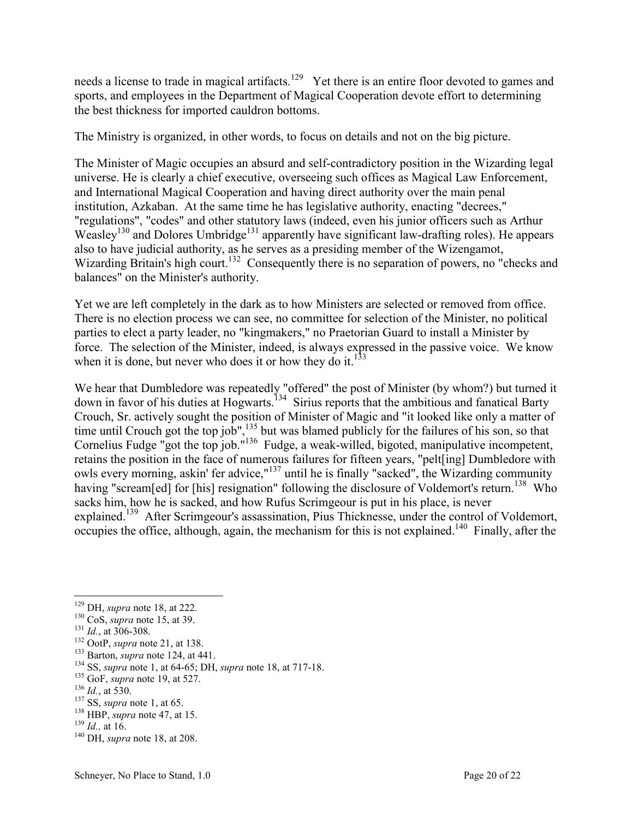needs a license to trade in magical artifacts.<sup>129</sup> Yet there is an entire floor devoted to games and sports, and employees in the Department of Magical Cooperation devote effort to determining the best thickness for imported cauldron bottoms.

The Ministry is organized, in other words, to focus on details and not on the big picture.

The Minister of Magic occupies an absurd and self-contradictory position in the Wizarding legal universe. He is clearly a chief executive, overseeing such offices as Magical Law Enforcement, and International Magical Cooperation and having direct authority over the main penal institution, Azkaban. At the same time he has legislative authority, enacting "decrees," "regulations", "codes" and other statutory laws (indeed, even his junior officers such as Arthur Weasley<sup>130</sup> and Dolores Umbridge<sup>131</sup> apparently have significant law-drafting roles). He appears also to have judicial authority, as he serves as a presiding member of the Wizengamot, Wizarding Britain's high court.<sup>132</sup> Consequently there is no separation of powers, no "checks and balances" on the Minister's authority.

Yet we are left completely in the dark as to how Ministers are selected or removed from office. There is no election process we can see, no committee for selection of the Minister, no political parties to elect a party leader, no "kingmakers," no Praetorian Guard to install a Minister by force. The selection of the Minister, indeed, is always expressed in the passive voice. We know when it is done, but never who does it or how they do it.<sup>133</sup>

We hear that Dumbledore was repeatedly "offered" the post of Minister (by whom?) but turned it down in favor of his duties at Hogwarts.<sup>134</sup> Sirius reports that the ambitious and fanatical Barty Crouch, Sr. actively sought the position of Minister of Magic and "it looked like only a matter of time until Crouch got the top job",  $135$  but was blamed publicly for the failures of his son, so that Cornelius Fudge "got the top job."<sup>136</sup> Fudge, a weak-willed, bigoted, manipulative incompetent, retains the position in the face of numerous failures for fifteen years, "pelt[ing] Dumbledore with owls every morning, askin' fer advice,"<sup>137</sup> until he is finally "sacked", the Wizarding community having "scream[ed] for [his] resignation" following the disclosure of Voldemort's return.<sup>138</sup> Who sacks him, how he is sacked, and how Rufus Scrimgeour is put in his place, is never explained.<sup>139</sup> After Scrimgeour's assassination, Pius Thicknesse, under the control of Voldemort, occupies the office, although, again, the mechanism for this is not explained.<sup>140</sup> Finally, after the

 $\overline{a}$ 

<sup>133</sup> Barton, *supra* note 124, at 441.

- <sup>135</sup> GoF, *supra* note 19, at 527.
- <sup>136</sup> *Id.*, at 530.
- <sup>137</sup> SS, *supra* note 1, at 65.

<sup>129</sup> DH, *supra* note 18, at 222.

<sup>130</sup> CoS, *supra* note 15, at 39.

<sup>131</sup> *Id.*, at 306-308.

<sup>132</sup> OotP, *supra* note 21, at 138.

<sup>134</sup> SS, *supra* note 1, at 64-65; DH, *supra* note 18, at 717-18.

<sup>138</sup> HBP, *supra* note 47, at 15.

<sup>139</sup> *Id.,* at 16.

<sup>140</sup> DH, *supra* note 18, at 208.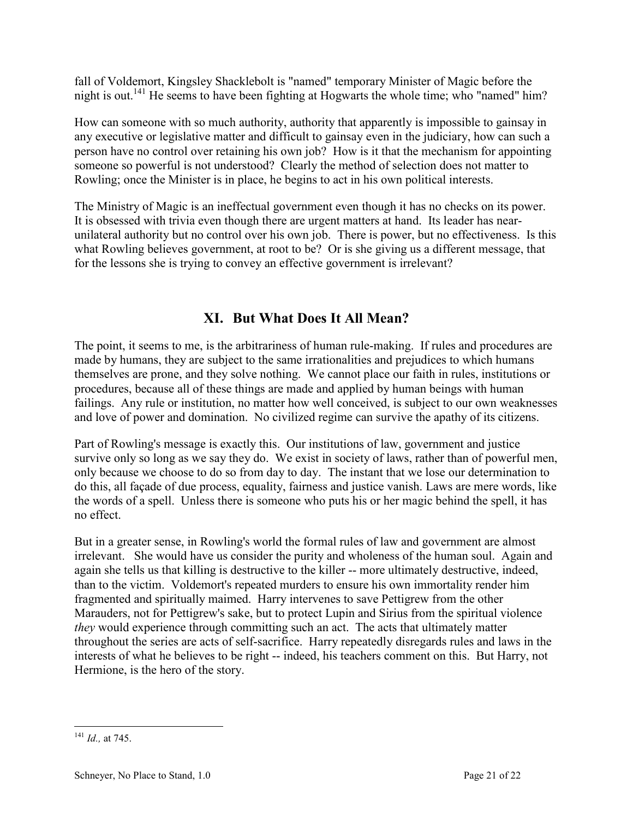<span id="page-21-0"></span>fall of Voldemort, Kingsley Shacklebolt is "named" temporary Minister of Magic before the night is out.<sup>141</sup> He seems to have been fighting at Hogwarts the whole time; who "named" him?

How can someone with so much authority, authority that apparently is impossible to gainsay in any executive or legislative matter and difficult to gainsay even in the judiciary, how can such a person have no control over retaining his own job? How is it that the mechanism for appointing someone so powerful is not understood? Clearly the method of selection does not matter to Rowling; once the Minister is in place, he begins to act in his own political interests.

The Ministry of Magic is an ineffectual government even though it has no checks on its power. It is obsessed with trivia even though there are urgent matters at hand. Its leader has nearunilateral authority but no control over his own job. There is power, but no effectiveness. Is this what Rowling believes government, at root to be? Or is she giving us a different message, that for the lessons she is trying to convey an effective government is irrelevant?

### **XI. But What Does It All Mean?**

The point, it seems to me, is the arbitrariness of human rule-making. If rules and procedures are made by humans, they are subject to the same irrationalities and prejudices to which humans themselves are prone, and they solve nothing. We cannot place our faith in rules, institutions or procedures, because all of these things are made and applied by human beings with human failings. Any rule or institution, no matter how well conceived, is subject to our own weaknesses and love of power and domination. No civilized regime can survive the apathy of its citizens.

Part of Rowling's message is exactly this. Our institutions of law, government and justice survive only so long as we say they do. We exist in society of laws, rather than of powerful men, only because we choose to do so from day to day. The instant that we lose our determination to do this, all façade of due process, equality, fairness and justice vanish. Laws are mere words, like the words of a spell. Unless there is someone who puts his or her magic behind the spell, it has no effect.

But in a greater sense, in Rowling's world the formal rules of law and government are almost irrelevant. She would have us consider the purity and wholeness of the human soul. Again and again she tells us that killing is destructive to the killer -- more ultimately destructive, indeed, than to the victim. Voldemort's repeated murders to ensure his own immortality render him fragmented and spiritually maimed. Harry intervenes to save Pettigrew from the other Marauders, not for Pettigrew's sake, but to protect Lupin and Sirius from the spiritual violence *they* would experience through committing such an act. The acts that ultimately matter throughout the series are acts of self-sacrifice. Harry repeatedly disregards rules and laws in the interests of what he believes to be right -- indeed, his teachers comment on this. But Harry, not Hermione, is the hero of the story.

 $\overline{a}$ <sup>141</sup> *Id.,* at 745.